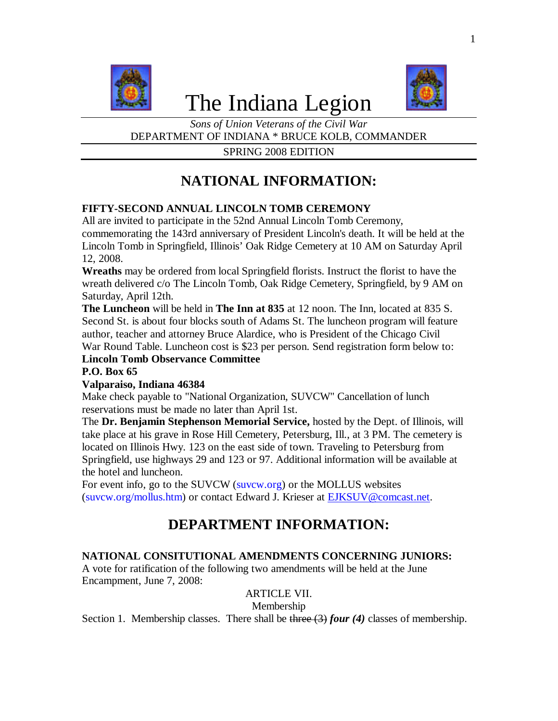

# The Indiana Legion



*Sons of Union Veterans of the Civil War* DEPARTMENT OF INDIANA \* BRUCE KOLB, COMMANDER

SPRING 2008 EDITION

# **NATIONAL INFORMATION:**

## **FIFTY-SECOND ANNUAL LINCOLN TOMB CEREMONY**

All are invited to participate in the 52nd Annual Lincoln Tomb Ceremony, commemorating the 143rd anniversary of President Lincoln's death. It will be held at the Lincoln Tomb in Springfield, Illinois' Oak Ridge Cemetery at 10 AM on Saturday April 12, 2008.

**Wreaths** may be ordered from local Springfield florists. Instruct the florist to have the wreath delivered c/o The Lincoln Tomb, Oak Ridge Cemetery, Springfield, by 9 AM on Saturday, April 12th.

**The Luncheon** will be held in **The Inn at 835** at 12 noon. The Inn, located at 835 S. Second St. is about four blocks south of Adams St. The luncheon program will feature author, teacher and attorney Bruce Alardice, who is President of the Chicago Civil War Round Table. Luncheon cost is \$23 per person. Send registration form below to:

**Lincoln Tomb Observance Committee**

# **P.O. Box 65**

## **Valparaiso, Indiana 46384**

Make check payable to "National Organization, SUVCW" Cancellation of lunch reservations must be made no later than April 1st.

The **Dr. Benjamin Stephenson Memorial Service,** hosted by the Dept. of Illinois, will take place at his grave in Rose Hill Cemetery, Petersburg, Ill., at 3 PM. The cemetery is located on Illinois Hwy. 123 on the east side of town. Traveling to Petersburg from Springfield, use highways 29 and 123 or 97. Additional information will be available at the hotel and luncheon.

For event info, go to the SUVCW (suvcw.org) or the MOLLUS websites (suvcw.org/mollus.htm) or contact Edward J. Krieser at EJKSUV@comcast.net.

# **DEPARTMENT INFORMATION:**

## **NATIONAL CONSITUTIONAL AMENDMENTS CONCERNING JUNIORS:**

A vote for ratification of the following two amendments will be held at the June Encampment, June 7, 2008:

## ARTICLE VII.

Membership

Section 1. Membership classes. There shall be three (3) *four* (4) classes of membership.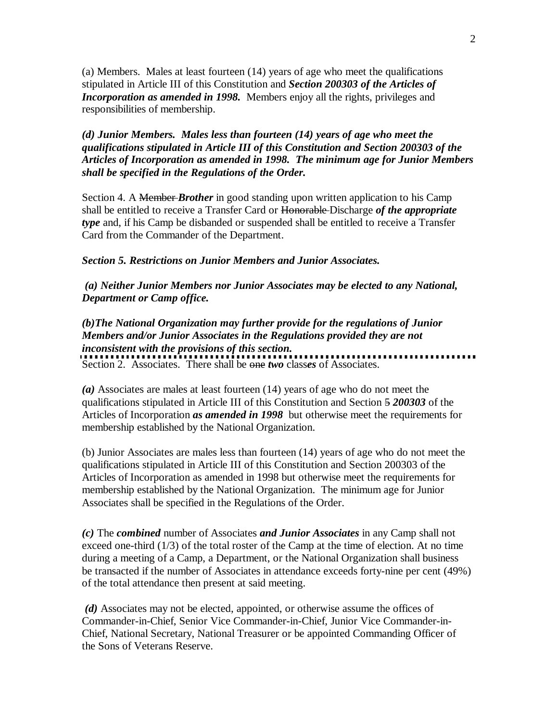(a) Members. Males at least fourteen (14) years of age who meet the qualifications stipulated in Article III of this Constitution and *Section 200303 of the Articles of Incorporation as amended in 1998.* Members enjoy all the rights, privileges and responsibilities of membership.

*(d) Junior Members. Males less than fourteen (14) years of age who meet the qualifications stipulated in Article III of this Constitution and Section 200303 of the Articles of Incorporation as amended in 1998. The minimum age for Junior Members shall be specified in the Regulations of the Order.*

Section 4. A Member *Brother* in good standing upon written application to his Camp shall be entitled to receive a Transfer Card or Honorable Discharge *of the appropriate type* and, if his Camp be disbanded or suspended shall be entitled to receive a Transfer Card from the Commander of the Department.

#### *Section 5. Restrictions on Junior Members and Junior Associates.*

 *(a) Neither Junior Members nor Junior Associates may be elected to any National, Department or Camp office.* 

*(b)The National Organization may further provide for the regulations of Junior Members and/or Junior Associates in the Regulations provided they are not inconsistent with the provisions of this section.* Section 2. Associates. There shall be one *two* class*es* of Associates.

*(a)* Associates are males at least fourteen (14) years of age who do not meet the qualifications stipulated in Article III of this Constitution and Section 5 *200303* of the Articles of Incorporation *as amended in 1998* but otherwise meet the requirements for membership established by the National Organization.

(b) Junior Associates are males less than fourteen (14) years of age who do not meet the qualifications stipulated in Article III of this Constitution and Section 200303 of the Articles of Incorporation as amended in 1998 but otherwise meet the requirements for membership established by the National Organization. The minimum age for Junior Associates shall be specified in the Regulations of the Order.

*(c)* The *combined* number of Associates *and Junior Associates* in any Camp shall not exceed one-third (1/3) of the total roster of the Camp at the time of election. At no time during a meeting of a Camp, a Department, or the National Organization shall business be transacted if the number of Associates in attendance exceeds forty-nine per cent (49%) of the total attendance then present at said meeting.

*(d)* Associates may not be elected, appointed, or otherwise assume the offices of Commander-in-Chief, Senior Vice Commander-in-Chief, Junior Vice Commander-in-Chief, National Secretary, National Treasurer or be appointed Commanding Officer of the Sons of Veterans Reserve.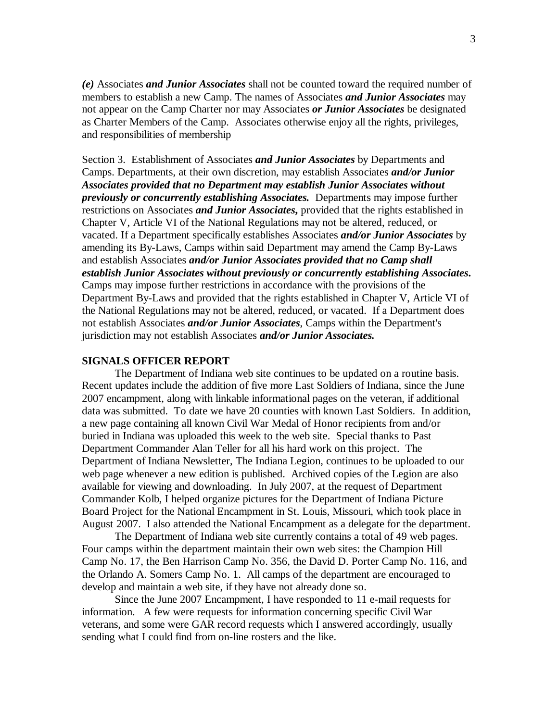*(e)* Associates *and Junior Associates* shall not be counted toward the required number of members to establish a new Camp. The names of Associates *and Junior Associates* may not appear on the Camp Charter nor may Associates *or Junior Associates* be designated as Charter Members of the Camp. Associates otherwise enjoy all the rights, privileges, and responsibilities of membership

Section 3. Establishment of Associates *and Junior Associates* by Departments and Camps. Departments, at their own discretion, may establish Associates *and/or Junior Associates provided that no Department may establish Junior Associates without previously or concurrently establishing Associates.* Departments may impose further restrictions on Associates *and Junior Associates***,** provided that the rights established in Chapter V, Article VI of the National Regulations may not be altered, reduced, or vacated. If a Department specifically establishes Associates *and/or Junior Associates* by amending its By-Laws, Camps within said Department may amend the Camp By-Laws and establish Associates *and/or Junior Associates provided that no Camp shall establish Junior Associates without previously or concurrently establishing Associates***.**  Camps may impose further restrictions in accordance with the provisions of the Department By-Laws and provided that the rights established in Chapter V, Article VI of the National Regulations may not be altered, reduced, or vacated. If a Department does not establish Associates *and/or Junior Associates*, Camps within the Department's jurisdiction may not establish Associates *and/or Junior Associates.*

#### **SIGNALS OFFICER REPORT**

The Department of Indiana web site continues to be updated on a routine basis. Recent updates include the addition of five more Last Soldiers of Indiana, since the June 2007 encampment, along with linkable informational pages on the veteran, if additional data was submitted. To date we have 20 counties with known Last Soldiers. In addition, a new page containing all known Civil War Medal of Honor recipients from and/or buried in Indiana was uploaded this week to the web site. Special thanks to Past Department Commander Alan Teller for all his hard work on this project. The Department of Indiana Newsletter, The Indiana Legion, continues to be uploaded to our web page whenever a new edition is published. Archived copies of the Legion are also available for viewing and downloading. In July 2007, at the request of Department Commander Kolb, I helped organize pictures for the Department of Indiana Picture Board Project for the National Encampment in St. Louis, Missouri, which took place in August 2007. I also attended the National Encampment as a delegate for the department.

The Department of Indiana web site currently contains a total of 49 web pages. Four camps within the department maintain their own web sites: the Champion Hill Camp No. 17, the Ben Harrison Camp No. 356, the David D. Porter Camp No. 116, and the Orlando A. Somers Camp No. 1. All camps of the department are encouraged to develop and maintain a web site, if they have not already done so.

Since the June 2007 Encampment, I have responded to 11 e-mail requests for information. A few were requests for information concerning specific Civil War veterans, and some were GAR record requests which I answered accordingly, usually sending what I could find from on-line rosters and the like.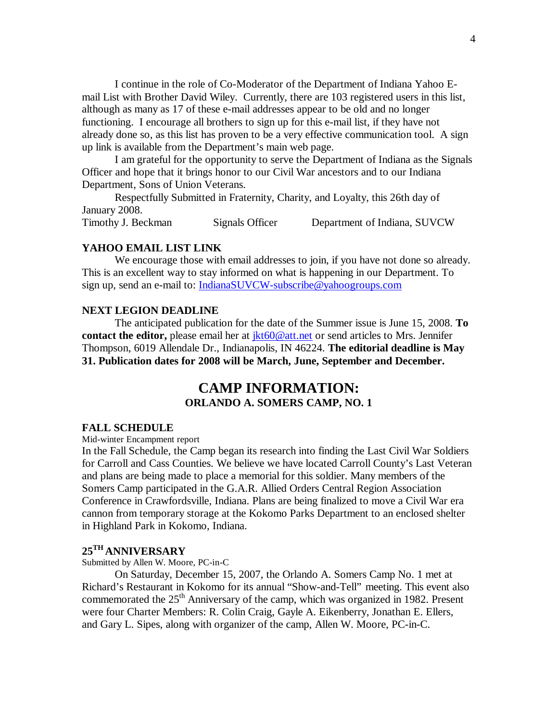I continue in the role of Co-Moderator of the Department of Indiana Yahoo Email List with Brother David Wiley. Currently, there are 103 registered users in this list, although as many as 17 of these e-mail addresses appear to be old and no longer functioning. I encourage all brothers to sign up for this e-mail list, if they have not already done so, as this list has proven to be a very effective communication tool. A sign up link is available from the Department's main web page.

I am grateful for the opportunity to serve the Department of Indiana as the Signals Officer and hope that it brings honor to our Civil War ancestors and to our Indiana Department, Sons of Union Veterans.

Respectfully Submitted in Fraternity, Charity, and Loyalty, this 26th day of January 2008.

Timothy J. Beckman Signals Officer Department of Indiana, SUVCW

#### **YAHOO EMAIL LIST LINK**

We encourage those with email addresses to join, if you have not done so already. This is an excellent way to stay informed on what is happening in our Department. To sign up, send an e-mail to: IndianaSUVCW-subscribe@yahoogroups.com

#### **NEXT LEGION DEADLINE**

The anticipated publication for the date of the Summer issue is June 15, 2008. **To contact the editor,** please email her at  $\frac{ikt60@att.net}{ikt60@att.net}$  or send articles to Mrs. Jennifer Thompson, 6019 Allendale Dr., Indianapolis, IN 46224. **The editorial deadline is May 31. Publication dates for 2008 will be March, June, September and December.**

# **CAMP INFORMATION: ORLANDO A. SOMERS CAMP, NO. 1**

#### **FALL SCHEDULE**

Mid-winter Encampment report

In the Fall Schedule, the Camp began its research into finding the Last Civil War Soldiers for Carroll and Cass Counties. We believe we have located Carroll County's Last Veteran and plans are being made to place a memorial for this soldier. Many members of the Somers Camp participated in the G.A.R. Allied Orders Central Region Association Conference in Crawfordsville, Indiana. Plans are being finalized to move a Civil War era cannon from temporary storage at the Kokomo Parks Department to an enclosed shelter in Highland Park in Kokomo, Indiana.

## **25TH ANNIVERSARY**

Submitted by Allen W. Moore, PC-in-C

On Saturday, December 15, 2007, the Orlando A. Somers Camp No. 1 met at Richard's Restaurant in Kokomo for its annual "Show-and-Tell" meeting. This event also commemorated the  $25<sup>th</sup>$  Anniversary of the camp, which was organized in 1982. Present were four Charter Members: R. Colin Craig, Gayle A. Eikenberry, Jonathan E. Ellers, and Gary L. Sipes, along with organizer of the camp, Allen W. Moore, PC-in-C.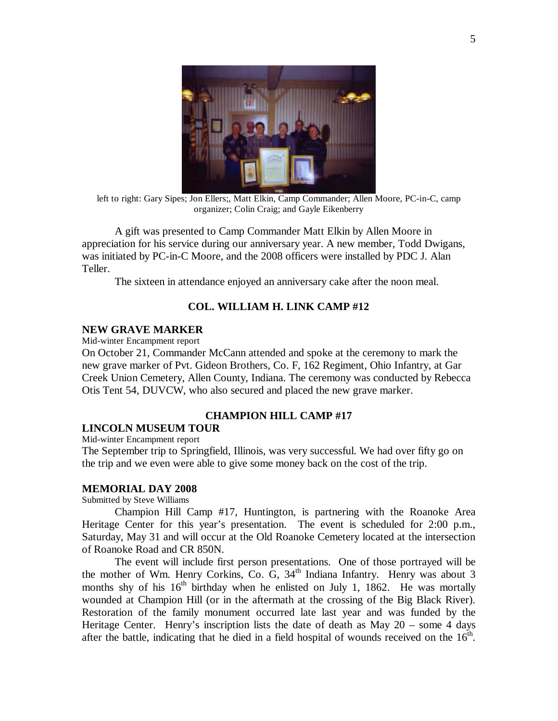

left to right: Gary Sipes; Jon Ellers;, Matt Elkin, Camp Commander; Allen Moore, PC-in-C, camp organizer; Colin Craig; and Gayle Eikenberry

A gift was presented to Camp Commander Matt Elkin by Allen Moore in appreciation for his service during our anniversary year. A new member, Todd Dwigans, was initiated by PC-in-C Moore, and the 2008 officers were installed by PDC J. Alan Teller.

The sixteen in attendance enjoyed an anniversary cake after the noon meal.

#### **COL. WILLIAM H. LINK CAMP #12**

#### **NEW GRAVE MARKER**

Mid-winter Encampment report

On October 21, Commander McCann attended and spoke at the ceremony to mark the new grave marker of Pvt. Gideon Brothers, Co. F, 162 Regiment, Ohio Infantry, at Gar Creek Union Cemetery, Allen County, Indiana. The ceremony was conducted by Rebecca Otis Tent 54, DUVCW, who also secured and placed the new grave marker.

#### **CHAMPION HILL CAMP #17**

#### **LINCOLN MUSEUM TOUR**

Mid-winter Encampment report

The September trip to Springfield, Illinois, was very successful. We had over fifty go on the trip and we even were able to give some money back on the cost of the trip.

#### **MEMORIAL DAY 2008**

Submitted by Steve Williams

Champion Hill Camp #17, Huntington, is partnering with the Roanoke Area Heritage Center for this year's presentation. The event is scheduled for 2:00 p.m., Saturday, May 31 and will occur at the Old Roanoke Cemetery located at the intersection of Roanoke Road and CR 850N.

The event will include first person presentations. One of those portrayed will be the mother of Wm. Henry Corkins, Co. G, 34<sup>th</sup> Indiana Infantry. Henry was about 3 months shy of his  $16<sup>th</sup>$  birthday when he enlisted on July 1, 1862. He was mortally wounded at Champion Hill (or in the aftermath at the crossing of the Big Black River). Restoration of the family monument occurred late last year and was funded by the Heritage Center. Henry's inscription lists the date of death as May 20 – some 4 days after the battle, indicating that he died in a field hospital of wounds received on the  $16<sup>th</sup>$ .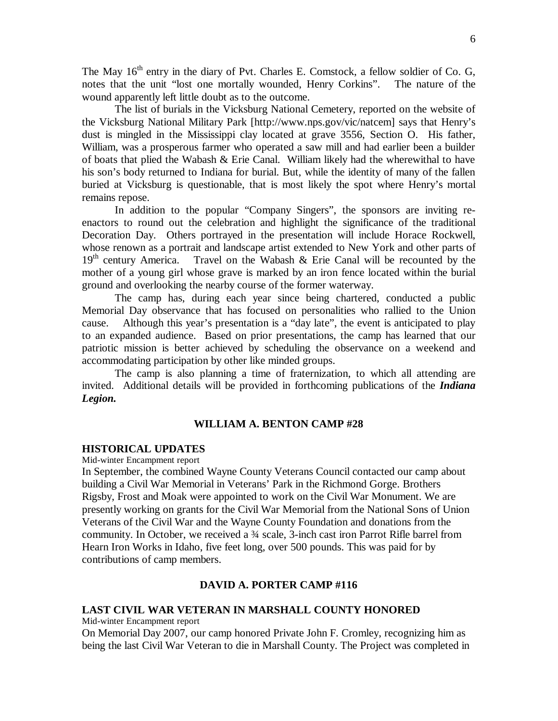The May  $16<sup>th</sup>$  entry in the diary of Pvt. Charles E. Comstock, a fellow soldier of Co. G, notes that the unit "lost one mortally wounded, Henry Corkins". The nature of the wound apparently left little doubt as to the outcome.

The list of burials in the Vicksburg National Cemetery, reported on the website of the Vicksburg National Military Park [http://www.nps.gov/vic/natcem] says that Henry's dust is mingled in the Mississippi clay located at grave 3556, Section O. His father, William, was a prosperous farmer who operated a saw mill and had earlier been a builder of boats that plied the Wabash & Erie Canal. William likely had the wherewithal to have his son's body returned to Indiana for burial. But, while the identity of many of the fallen buried at Vicksburg is questionable, that is most likely the spot where Henry's mortal remains repose.

In addition to the popular "Company Singers", the sponsors are inviting reenactors to round out the celebration and highlight the significance of the traditional Decoration Day. Others portrayed in the presentation will include Horace Rockwell, whose renown as a portrait and landscape artist extended to New York and other parts of 19<sup>th</sup> century America. Travel on the Wabash & Erie Canal will be recounted by the mother of a young girl whose grave is marked by an iron fence located within the burial ground and overlooking the nearby course of the former waterway.

The camp has, during each year since being chartered, conducted a public Memorial Day observance that has focused on personalities who rallied to the Union cause. Although this year's presentation is a "day late", the event is anticipated to play to an expanded audience. Based on prior presentations, the camp has learned that our patriotic mission is better achieved by scheduling the observance on a weekend and accommodating participation by other like minded groups.

The camp is also planning a time of fraternization, to which all attending are invited. Additional details will be provided in forthcoming publications of the *Indiana Legion.*

#### **WILLIAM A. BENTON CAMP #28**

#### **HISTORICAL UPDATES**

Mid-winter Encampment report

In September, the combined Wayne County Veterans Council contacted our camp about building a Civil War Memorial in Veterans' Park in the Richmond Gorge. Brothers Rigsby, Frost and Moak were appointed to work on the Civil War Monument. We are presently working on grants for the Civil War Memorial from the National Sons of Union Veterans of the Civil War and the Wayne County Foundation and donations from the community. In October, we received a ¾ scale, 3-inch cast iron Parrot Rifle barrel from Hearn Iron Works in Idaho, five feet long, over 500 pounds. This was paid for by contributions of camp members.

#### **DAVID A. PORTER CAMP #116**

#### **LAST CIVIL WAR VETERAN IN MARSHALL COUNTY HONORED**

Mid-winter Encampment report

On Memorial Day 2007, our camp honored Private John F. Cromley, recognizing him as being the last Civil War Veteran to die in Marshall County. The Project was completed in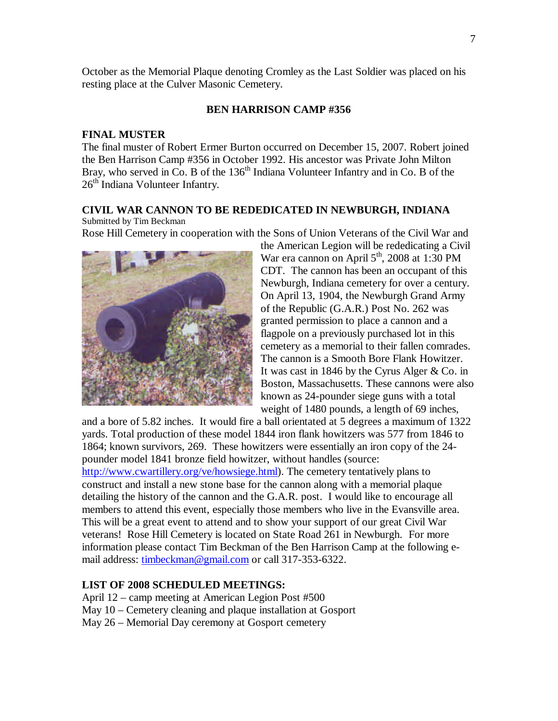October as the Memorial Plaque denoting Cromley as the Last Soldier was placed on his resting place at the Culver Masonic Cemetery.

#### **BEN HARRISON CAMP #356**

#### **FINAL MUSTER**

The final muster of Robert Ermer Burton occurred on December 15, 2007. Robert joined the Ben Harrison Camp #356 in October 1992. His ancestor was Private John Milton Bray, who served in Co. B of the 136<sup>th</sup> Indiana Volunteer Infantry and in Co. B of the 26<sup>th</sup> Indiana Volunteer Infantry.

# **CIVIL WAR CANNON TO BE REDEDICATED IN NEWBURGH, INDIANA**

### Submitted by Tim Beckman

Rose Hill Cemetery in cooperation with the Sons of Union Veterans of the Civil War and



the American Legion will be rededicating a Civil War era cannon on April  $5<sup>th</sup>$ , 2008 at 1:30 PM CDT. The cannon has been an occupant of this Newburgh, Indiana cemetery for over a century. On April 13, 1904, the Newburgh Grand Army of the Republic (G.A.R.) Post No. 262 was granted permission to place a cannon and a flagpole on a previously purchased lot in this cemetery as a memorial to their fallen comrades. The cannon is a Smooth Bore Flank Howitzer. It was cast in 1846 by the Cyrus Alger & Co. in Boston, Massachusetts. These cannons were also known as 24-pounder siege guns with a total weight of 1480 pounds, a length of 69 inches,

and a bore of 5.82 inches. It would fire a ball orientated at 5 degrees a maximum of 1322 yards. Total production of these model 1844 iron flank howitzers was 577 from 1846 to 1864; known survivors, 269. These howitzers were essentially an iron copy of the 24 pounder model 1841 bronze field howitzer, without handles (source: http://www.cwartillery.org/ve/howsiege.html). The cemetery tentatively plans to construct and install a new stone base for the cannon along with a memorial plaque detailing the history of the cannon and the G.A.R. post. I would like to encourage all members to attend this event, especially those members who live in the Evansville area. This will be a great event to attend and to show your support of our great Civil War

veterans! Rose Hill Cemetery is located on State Road 261 in Newburgh.For more information please contact Tim Beckman of the Ben Harrison Camp at the following email address: timbeckman@gmail.com or call 317-353-6322.

#### **LIST OF 2008 SCHEDULED MEETINGS:**

- April 12 camp meeting at American Legion Post #500
- May 10 Cemetery cleaning and plaque installation at Gosport
- May 26 Memorial Day ceremony at Gosport cemetery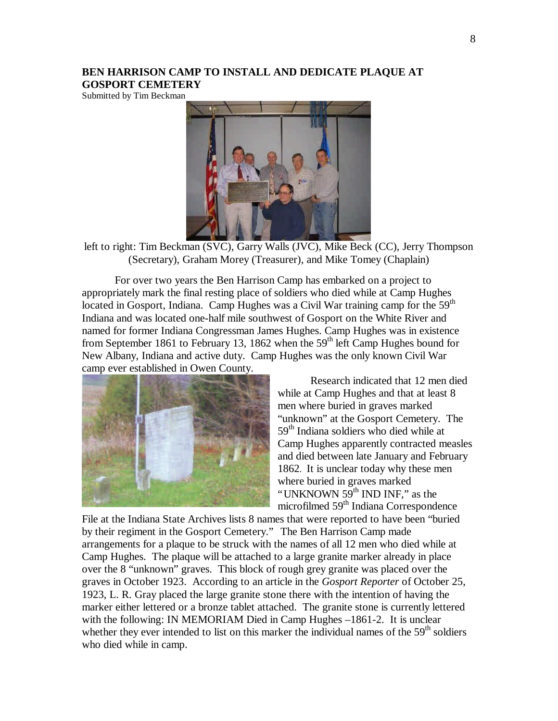#### **BEN HARRISON CAMP TO INSTALL AND DEDICATE PLAQUE AT GOSPORT CEMETERY**

Submitted by Tim Beckman



left to right: Tim Beckman (SVC), Garry Walls (JVC), Mike Beck (CC), Jerry Thompson (Secretary), Graham Morey (Treasurer), and Mike Tomey (Chaplain)

For over two years the Ben Harrison Camp has embarked on a project to appropriately mark the final resting place of soldiers who died while at Camp Hughes located in Gosport, Indiana. Camp Hughes was a Civil War training camp for the 59<sup>th</sup> Indiana and was located one-half mile southwest of Gosport on the White River and named for former Indiana Congressman James Hughes. Camp Hughes was in existence from September 1861 to February 13, 1862 when the  $59<sup>th</sup>$  left Camp Hughes bound for New Albany, Indiana and active duty. Camp Hughes was the only known Civil War camp ever established in Owen County.



Research indicated that 12 men died while at Camp Hughes and that at least 8 men where buried in graves marked "unknown" at the Gosport Cemetery. The 59<sup>th</sup> Indiana soldiers who died while at Camp Hughes apparently contracted measles and died between late January and February 1862. It is unclear today why these men where buried in graves marked "UNKNOWN 59<sup>th</sup> IND INF," as the microfilmed 59<sup>th</sup> Indiana Correspondence

File at the Indiana State Archives lists 8 names that were reported to have been "buried by their regiment in the Gosport Cemetery." The Ben Harrison Camp made arrangements for a plaque to be struck with the names of all 12 men who died while at Camp Hughes. The plaque will be attached to a large granite marker already in place over the 8 "unknown" graves. This block of rough grey granite was placed over the graves in October 1923. According to an article in the *Gosport Reporter* of October 25, 1923, L. R. Gray placed the large granite stone there with the intention of having the marker either lettered or a bronze tablet attached. The granite stone is currently lettered with the following: IN MEMORIAM Died in Camp Hughes –1861-2. It is unclear whether they ever intended to list on this marker the individual names of the  $59<sup>th</sup>$  soldiers who died while in camp.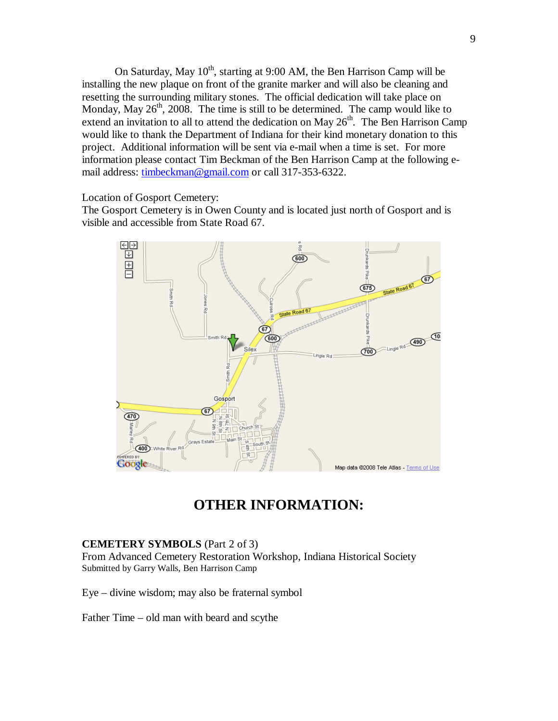On Saturday, May  $10^{th}$ , starting at 9:00 AM, the Ben Harrison Camp will be installing the new plaque on front of the granite marker and will also be cleaning and resetting the surrounding military stones. The official dedication will take place on Monday, May  $26<sup>th</sup>$ ,  $2008$ . The time is still to be determined. The camp would like to extend an invitation to all to attend the dedication on May  $26<sup>th</sup>$ . The Ben Harrison Camp would like to thank the Department of Indiana for their kind monetary donation to this project. Additional information will be sent via e-mail when a time is set. For more information please contact Tim Beckman of the Ben Harrison Camp at the following email address: timbeckman@gmail.com or call 317-353-6322.

Location of Gosport Cemetery:

The Gosport Cemetery is in Owen County and is located just north of Gosport and is visible and accessible from State Road 67.



# **OTHER INFORMATION:**

#### **CEMETERY SYMBOLS** (Part 2 of 3)

From Advanced Cemetery Restoration Workshop, Indiana Historical Society Submitted by Garry Walls, Ben Harrison Camp

Eye – divine wisdom; may also be fraternal symbol

Father Time – old man with beard and scythe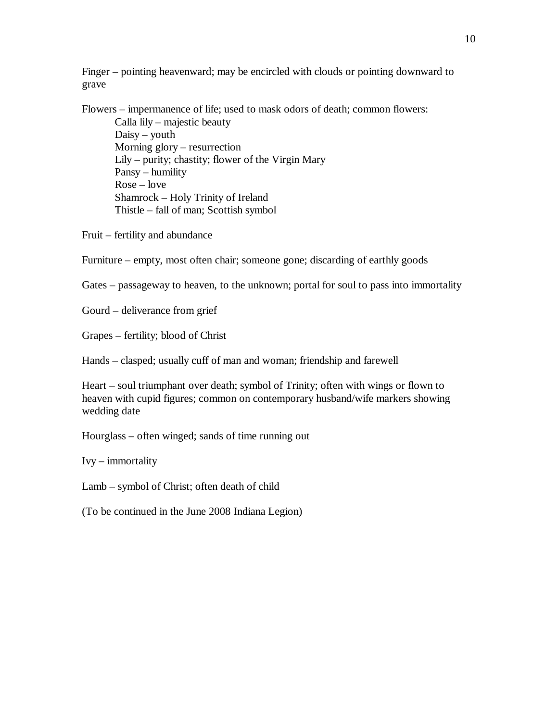Finger – pointing heavenward; may be encircled with clouds or pointing downward to grave

Flowers – impermanence of life; used to mask odors of death; common flowers:

Calla lily – majestic beauty Daisy – youth Morning glory – resurrection Lily – purity; chastity; flower of the Virgin Mary Pansy – humility Rose – love Shamrock – Holy Trinity of Ireland Thistle – fall of man; Scottish symbol

Fruit – fertility and abundance

Furniture – empty, most often chair; someone gone; discarding of earthly goods

Gates – passageway to heaven, to the unknown; portal for soul to pass into immortality

Gourd – deliverance from grief

Grapes – fertility; blood of Christ

Hands – clasped; usually cuff of man and woman; friendship and farewell

Heart – soul triumphant over death; symbol of Trinity; often with wings or flown to heaven with cupid figures; common on contemporary husband/wife markers showing wedding date

Hourglass – often winged; sands of time running out

Ivy – immortality

Lamb – symbol of Christ; often death of child

(To be continued in the June 2008 Indiana Legion)